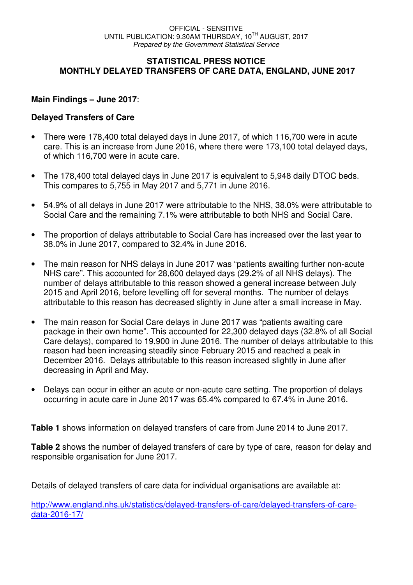#### **STATISTICAL PRESS NOTICE MONTHLY DELAYED TRANSFERS OF CARE DATA, ENGLAND, JUNE 2017**

#### **Main Findings – June 2017**:

#### **Delayed Transfers of Care**

- There were 178,400 total delayed days in June 2017, of which 116,700 were in acute care. This is an increase from June 2016, where there were 173,100 total delayed days, of which 116,700 were in acute care.
- The 178,400 total delayed days in June 2017 is equivalent to 5,948 daily DTOC beds. This compares to 5,755 in May 2017 and 5,771 in June 2016.
- 54.9% of all delays in June 2017 were attributable to the NHS, 38.0% were attributable to Social Care and the remaining 7.1% were attributable to both NHS and Social Care.
- The proportion of delays attributable to Social Care has increased over the last year to 38.0% in June 2017, compared to 32.4% in June 2016.
- The main reason for NHS delays in June 2017 was "patients awaiting further non-acute NHS care". This accounted for 28,600 delayed days (29.2% of all NHS delays). The number of delays attributable to this reason showed a general increase between July 2015 and April 2016, before levelling off for several months. The number of delays attributable to this reason has decreased slightly in June after a small increase in May.
- The main reason for Social Care delays in June 2017 was "patients awaiting care package in their own home". This accounted for 22,300 delayed days (32.8% of all Social Care delays), compared to 19,900 in June 2016. The number of delays attributable to this reason had been increasing steadily since February 2015 and reached a peak in December 2016. Delays attributable to this reason increased slightly in June after decreasing in April and May.
- Delays can occur in either an acute or non-acute care setting. The proportion of delays occurring in acute care in June 2017 was 65.4% compared to 67.4% in June 2016.

**Table 1** shows information on delayed transfers of care from June 2014 to June 2017.

Table 2 shows the number of delayed transfers of care by type of care, reason for delay and responsible organisation for June 2017.

Details of delayed transfers of care data for individual organisations are available at:

http://www.england.nhs.uk/statistics/delayed-transfers-of-care/delayed-transfers-of-caredata-2016-17/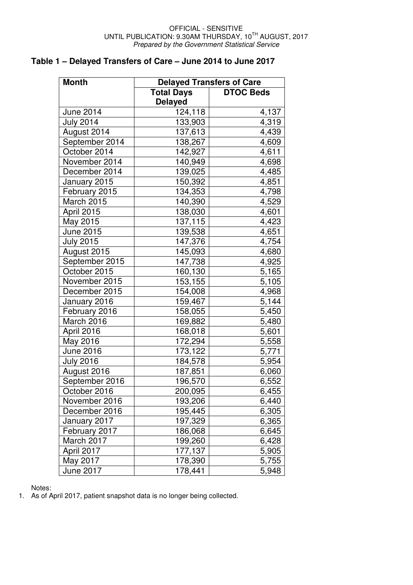# **Table 1 – Delayed Transfers of Care – June 2014 to June 2017**

| <b>Month</b>     | <b>Delayed Transfers of Care</b> |                  |  |  |  |
|------------------|----------------------------------|------------------|--|--|--|
|                  | <b>Total Days</b>                | <b>DTOC Beds</b> |  |  |  |
|                  | <b>Delayed</b>                   |                  |  |  |  |
| June 2014        | 124,118                          | 4,137            |  |  |  |
| <b>July 2014</b> | 133,903                          | 4,319            |  |  |  |
| August 2014      | 137,613                          | 4,439            |  |  |  |
| September 2014   | 138,267                          | 4,609            |  |  |  |
| October 2014     | 142,927                          | 4,611            |  |  |  |
| November 2014    | 140,949                          | 4,698            |  |  |  |
| December 2014    | 139,025                          | 4,485            |  |  |  |
| January 2015     | 150,392                          | 4,851            |  |  |  |
| February 2015    | 134,353                          | 4,798            |  |  |  |
| March 2015       | 140,390                          | 4,529            |  |  |  |
| April 2015       | 138,030                          | 4,601            |  |  |  |
| May 2015         | 137,115                          | 4,423            |  |  |  |
| June 2015        | 139,538                          | 4,651            |  |  |  |
| <b>July 2015</b> | 147,376                          | 4,754            |  |  |  |
| August 2015      | 145,093                          | 4,680            |  |  |  |
| September 2015   | 147,738                          | 4,925            |  |  |  |
| October 2015     | 160,130                          | 5,165            |  |  |  |
| November 2015    | 153,155                          | 5,105            |  |  |  |
| December 2015    | 154,008                          | 4,968            |  |  |  |
| January 2016     | 159,467                          | 5,144            |  |  |  |
| February 2016    | 158,055                          | 5,450            |  |  |  |
| March 2016       | 169,882                          | 5,480            |  |  |  |
| April 2016       | 168,018                          | 5,601            |  |  |  |
| May 2016         | 172,294                          | 5,558            |  |  |  |
| June 2016        | 173,122                          | 5,771            |  |  |  |
| <b>July 2016</b> | 184,578                          | 5,954            |  |  |  |
| August 2016      | 187,851                          | 6,060            |  |  |  |
| September 2016   | 196,570                          | 6,552            |  |  |  |
| October 2016     | 200,095                          | 6,455            |  |  |  |
| November 2016    | 193,206                          | 6,440            |  |  |  |
| December 2016    | 195,445                          | 6,305            |  |  |  |
| January 2017     | 197,329                          | 6,365            |  |  |  |
| February 2017    | 186,068                          | 6,645            |  |  |  |
| March 2017       | 199,260                          | 6,428            |  |  |  |
| April 2017       | 177,137                          | 5,905            |  |  |  |
| May 2017         | 178,390                          | 5,755            |  |  |  |
| June 2017        | 178,441                          | 5,948            |  |  |  |

Notes:

1. As of April 2017, patient snapshot data is no longer being collected.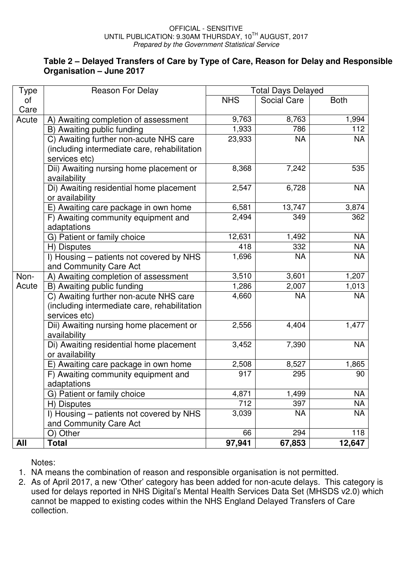#### **Table 2 – Delayed Transfers of Care by Type of Care, Reason for Delay and Responsible Organisation – June 2017**

| Type       | <b>Reason For Delay</b>                                    | <b>Total Days Delayed</b> |             |             |
|------------|------------------------------------------------------------|---------------------------|-------------|-------------|
| οf         |                                                            | <b>NHS</b>                | Social Care | <b>Both</b> |
| Care       |                                                            |                           |             |             |
| Acute      | A) Awaiting completion of assessment                       | 9,763                     | 8,763       | 1,994       |
|            | B) Awaiting public funding                                 | 1,933                     | 786         | 112         |
|            | C) Awaiting further non-acute NHS care                     | 23,933                    | <b>NA</b>   | <b>NA</b>   |
|            | (including intermediate care, rehabilitation               |                           |             |             |
|            | services etc)                                              |                           |             |             |
|            | Dii) Awaiting nursing home placement or<br>availability    | 8,368                     | 7,242       | 535         |
|            | Di) Awaiting residential home placement                    | 2,547                     | 6,728       | <b>NA</b>   |
|            | or availability                                            |                           |             |             |
|            | E) Awaiting care package in own home                       | 6,581                     | 13,747      | 3,874       |
|            | F) Awaiting community equipment and                        | 2,494                     | 349         | 362         |
|            | adaptations                                                |                           |             |             |
|            | G) Patient or family choice                                | 12,631                    | 1,492       | <b>NA</b>   |
|            | H) Disputes                                                | 418                       | 332         | <b>NA</b>   |
|            | I) Housing - patients not covered by NHS                   | 1,696                     | <b>NA</b>   | <b>NA</b>   |
|            | and Community Care Act                                     |                           |             |             |
| Non-       | A) Awaiting completion of assessment                       | 3,510                     | 3,601       | 1,207       |
| Acute      | B) Awaiting public funding                                 | 1,286                     | 2,007       | 1,013       |
|            | C) Awaiting further non-acute NHS care                     | 4,660                     | <b>NA</b>   | <b>NA</b>   |
|            | (including intermediate care, rehabilitation               |                           |             |             |
|            | services etc)                                              |                           |             |             |
|            | Dii) Awaiting nursing home placement or                    | 2,556                     | 4,404       | 1,477       |
|            | availability                                               | 3,452                     | 7,390       | <b>NA</b>   |
|            | Di) Awaiting residential home placement<br>or availability |                           |             |             |
|            | E) Awaiting care package in own home                       | 2,508                     | 8,527       | 1,865       |
|            | F) Awaiting community equipment and                        | 917                       | 295         | 90          |
|            | adaptations                                                |                           |             |             |
|            | G) Patient or family choice                                | 4,871                     | 1,499       | <b>NA</b>   |
|            | H) Disputes                                                | 712                       | 397         | NA          |
|            | I) Housing – patients not covered by NHS                   | 3,039                     | <b>NA</b>   | NA          |
|            | and Community Care Act                                     |                           |             |             |
|            | O) Other                                                   | 66                        | 294         | 118         |
| <b>All</b> | <b>Total</b>                                               | 97,941                    | 67,853      | 12,647      |

Notes:

- 1. NA means the combination of reason and responsible organisation is not permitted.
- 2. As of April 2017, a new 'Other' category has been added for non-acute delays. This category is used for delays reported in NHS Digital's Mental Health Services Data Set (MHSDS v2.0) which cannot be mapped to existing codes within the NHS England Delayed Transfers of Care collection.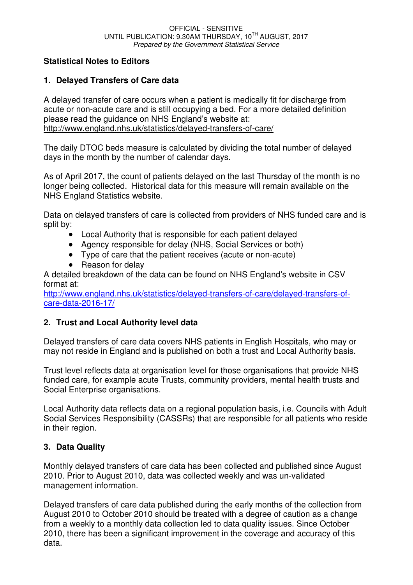# **Statistical Notes to Editors**

# **1. Delayed Transfers of Care data**

A delayed transfer of care occurs when a patient is medically fit for discharge from acute or non-acute care and is still occupying a bed. For a more detailed definition please read the guidance on NHS England's website at: http://www.england.nhs.uk/statistics/delayed-transfers-of-care/

The daily DTOC beds measure is calculated by dividing the total number of delayed days in the month by the number of calendar days.

As of April 2017, the count of patients delayed on the last Thursday of the month is no longer being collected. Historical data for this measure will remain available on the NHS England Statistics website.

Data on delayed transfers of care is collected from providers of NHS funded care and is split by:

- Local Authority that is responsible for each patient delayed
- Agency responsible for delay (NHS, Social Services or both)
- Type of care that the patient receives (acute or non-acute)
- Reason for delay

A detailed breakdown of the data can be found on NHS England's website in CSV format at:

http://www.england.nhs.uk/statistics/delayed-transfers-of-care/delayed-transfers-ofcare-data-2016-17/

## **2. Trust and Local Authority level data**

Delayed transfers of care data covers NHS patients in English Hospitals, who may or may not reside in England and is published on both a trust and Local Authority basis.

Trust level reflects data at organisation level for those organisations that provide NHS funded care, for example acute Trusts, community providers, mental health trusts and Social Enterprise organisations.

Local Authority data reflects data on a regional population basis, i.e. Councils with Adult Social Services Responsibility (CASSRs) that are responsible for all patients who reside in their region.

# **3. Data Quality**

Monthly delayed transfers of care data has been collected and published since August 2010. Prior to August 2010, data was collected weekly and was un-validated management information.

Delayed transfers of care data published during the early months of the collection from August 2010 to October 2010 should be treated with a degree of caution as a change from a weekly to a monthly data collection led to data quality issues. Since October 2010, there has been a significant improvement in the coverage and accuracy of this data.